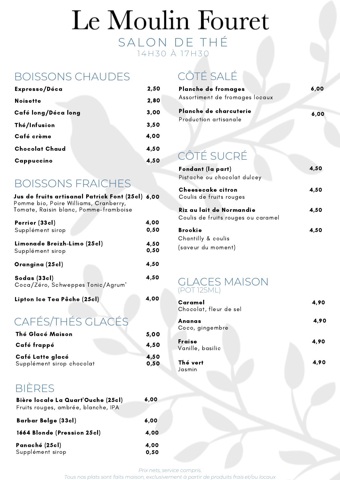# Le Moulin Fouret SALON DE THÉ 14 H 30 À 17 H 30

### BOISSONS CHAUDES

| Expresso/Déca         | 2,50 |
|-----------------------|------|
| <b>Noisette</b>       | 2,80 |
| Café long/Déca long   | 3,00 |
| Thé/Infusion          | 3,50 |
| Café crème            | 4,00 |
| <b>Chocolat Chaud</b> | 4,50 |
| Cappuccino            | 4,50 |

### BOISSONS FRAICHES

| Jus de fruits artisanal Patrick Font (25cl) 6,00<br>Pomme bio, Poire Williams, Cranberry,<br>Tomate, Raisin blanc, Pomme-framboise |              |
|------------------------------------------------------------------------------------------------------------------------------------|--------------|
| Perrier (33cl)<br>Supplément sirop                                                                                                 | 4,00<br>0,50 |
| Limonade Breizh-Limo (25cl)<br>Supplément sirop                                                                                    | 4,50<br>0,50 |
| Orangina (25cl)                                                                                                                    | 4,50         |
| Sodas (33cl)<br>Coca/Zéro, Schweppes Tonic/Agrum'                                                                                  | 4,50         |
| Lipton Ice Tea Pêche (25cl)                                                                                                        | 4,00         |
| CAFÉS/THÉS GLAC                                                                                                                    |              |

#### CAFÉS/THÉS GLACÉS Thé Glacé Maison

| Thé Glacé Maison          | 5,00 |
|---------------------------|------|
| Café frappé               | 4,50 |
| Café Latte glacé          | 4,50 |
| Supplément sirop chocolat | 0,50 |

## BIÈRES

| Bière locale La Quart'Ouche (25cl)  | 6,00 |
|-------------------------------------|------|
| Fruits rouges, ambrée, blanche, IPA |      |
| <b>Barbar Belge (33cl)</b>          | 6,00 |
| 1664 Blonde (Pression 25cl)         | 4,00 |
| Panaché (25cl)                      | 4,00 |
| Supplément sirop                    | 0,50 |

## CÔTÉ SALÉ

| Planche de fromages                             | 6,00 |
|-------------------------------------------------|------|
| Assortiment de fromages locaux                  |      |
| Planche de charcuterie<br>Production artisanale | 6,00 |

# CÔTÉ SUCRÉ

| Fondant (la part)                  | 4,50 |
|------------------------------------|------|
| Pistache ou chocolat dulcey        |      |
| Cheesecake citron                  | 4,50 |
| Coulis de fruits rouges            |      |
| Riz au lait de Normandie           | 4,50 |
| Coulis de fruits rouges ou caramel |      |
| <b>Brookie</b>                     | 4,50 |
| Chantilly & coulis                 |      |
| (saveur du moment)                 |      |

### GLACES MAISON (POT 125ML)

| Caramel<br>Chocolat, fleur de sel | 4,90 |
|-----------------------------------|------|
| Ananas<br>Coco, gingembre         | 4,90 |
| Fraise<br>Vanille, basilic        | 4,90 |
| Thé vert<br>Jasmin                | 4,90 |

*Prix nets, service compris.*

*Tous nos plats sont faits maison, exclusivement à partir de produits frais et/ou locaux*